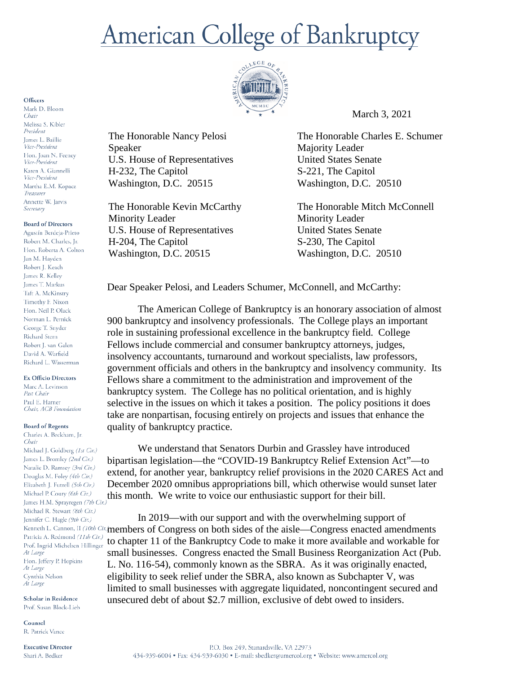# **American College of Bankruptcy**



The Honorable Nancy Pelosi

U.S. House of Representatives

The Honorable Kevin McCarthy

U.S. House of Representatives

Washington, D.C. 20515

H-232, The Capitol

Minority Leader

H-204, The Capitol Washington, D.C. 20515

Speaker

March 3, 2021

The Honorable Charles E. Schumer Majority Leader United States Senate S-221, The Capitol Washington, D.C. 20510

The Honorable Mitch McConnell Minority Leader United States Senate S-230, The Capitol Washington, D.C. 20510

Dear Speaker Pelosi, and Leaders Schumer, McConnell, and McCarthy:

The American College of Bankruptcy is an honorary association of almost 900 bankruptcy and insolvency professionals. The College plays an important role in sustaining professional excellence in the bankruptcy field. College Fellows include commercial and consumer bankruptcy attorneys, judges, insolvency accountants, turnaround and workout specialists, law professors, government officials and others in the bankruptcy and insolvency community. Its Fellows share a commitment to the administration and improvement of the bankruptcy system. The College has no political orientation, and is highly selective in the issues on which it takes a position. The policy positions it does take are nonpartisan, focusing entirely on projects and issues that enhance the quality of bankruptcy practice.

We understand that Senators Durbin and Grassley have introduced bipartisan legislation—the "COVID-19 Bankruptcy Relief Extension Act"—to extend, for another year, bankruptcy relief provisions in the 2020 CARES Act and December 2020 omnibus appropriations bill, which otherwise would sunset later this month. We write to voice our enthusiastic support for their bill.

In 2019—with our support and with the overwhelming support of Kenneth L. Cannon, II (10th Cir.) members of Congress on both sides of the aisle—Congress enacted amendments to chapter 11 of the Bankruptcy Code to make it more available and workable for small businesses. Congress enacted the Small Business Reorganization Act (Pub. L. No. 116-54), commonly known as the SBRA. As it was originally enacted, eligibility to seek relief under the SBRA, also known as Subchapter V, was limited to small businesses with aggregate liquidated, noncontingent secured and unsecured debt of about \$2.7 million, exclusive of debt owed to insiders.

## Officers

Mark D. Bloom Chair Melissa S. Kibler President James L. Baillie Vice-President Hon. Joan N. Feeney Vice-President Karen A. Giannelli Vice-President Martha E.M. Kopacz Treasurer Annette W. Jarvis Secretary

## **Board of Directors**

Agustín Berdeja-Prieto Robert M. Charles, Jr. Hon. Roberta A. Colton Jan M. Havden Robert J. Keach James R. Kelley James T. Markus Taft A. McKinstry Timothy F. Nixon Hon. Neil P. Olack Norman L. Pernick George T. Snyder Richard Stern Robert J. van Galen David A. Warfield Richard L. Wasserman

## **Ex Officio Directors**

Marc A. Levinson Past Chair Paul E. Harner Chair, ACB Foundation

#### **Board of Regents**

Charles A. Beckham, Jr. Chair Michael J. Goldberg (1st Cir.) James L. Bromley (2nd Cir.) Natalie D. Ramsey (3rd Cir.) Douglas M. Foley (4th Cir.) Elizabeth J. Futrell (5th Cir.) Michael P. Coury (6th Cir.) James H.M. Sprayregen (7th Cir.) Michael R. Stewart (8th Cir.) Jennifer C. Hagle (9th Cir.) Patricia A. Redmond (11th Cir.) Prof. Ingrid Michelsen Hillinger At Large Hon. Jeffery P. Hopkins At Large Cynthia Nelson At Large

Scholar in Residence Prof. Susan Block-Lieb

Counsel R. Patrick Vance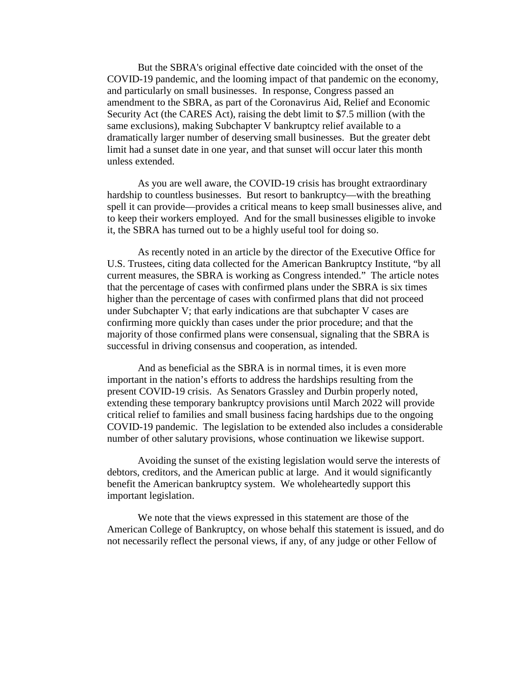But the SBRA's original effective date coincided with the onset of the COVID-19 pandemic, and the looming impact of that pandemic on the economy, and particularly on small businesses. In response, Congress passed an amendment to the SBRA, as part of the Coronavirus Aid, Relief and Economic Security Act (the CARES Act), raising the debt limit to \$7.5 million (with the same exclusions), making Subchapter V bankruptcy relief available to a dramatically larger number of deserving small businesses. But the greater debt limit had a sunset date in one year, and that sunset will occur later this month unless extended.

As you are well aware, the COVID-19 crisis has brought extraordinary hardship to countless businesses. But resort to bankruptcy—with the breathing spell it can provide—provides a critical means to keep small businesses alive, and to keep their workers employed. And for the small businesses eligible to invoke it, the SBRA has turned out to be a highly useful tool for doing so.

As recently noted in an article by the director of the Executive Office for U.S. Trustees, citing data collected for the American Bankruptcy Institute, "by all current measures, the SBRA is working as Congress intended." The article notes that the percentage of cases with confirmed plans under the SBRA is six times higher than the percentage of cases with confirmed plans that did not proceed under Subchapter V; that early indications are that subchapter V cases are confirming more quickly than cases under the prior procedure; and that the majority of those confirmed plans were consensual, signaling that the SBRA is successful in driving consensus and cooperation, as intended.

And as beneficial as the SBRA is in normal times, it is even more important in the nation's efforts to address the hardships resulting from the present COVID-19 crisis. As Senators Grassley and Durbin properly noted, extending these temporary bankruptcy provisions until March 2022 will provide critical relief to families and small business facing hardships due to the ongoing COVID-19 pandemic. The legislation to be extended also includes a considerable number of other salutary provisions, whose continuation we likewise support.

Avoiding the sunset of the existing legislation would serve the interests of debtors, creditors, and the American public at large. And it would significantly benefit the American bankruptcy system. We wholeheartedly support this important legislation.

We note that the views expressed in this statement are those of the American College of Bankruptcy, on whose behalf this statement is issued, and do not necessarily reflect the personal views, if any, of any judge or other Fellow of